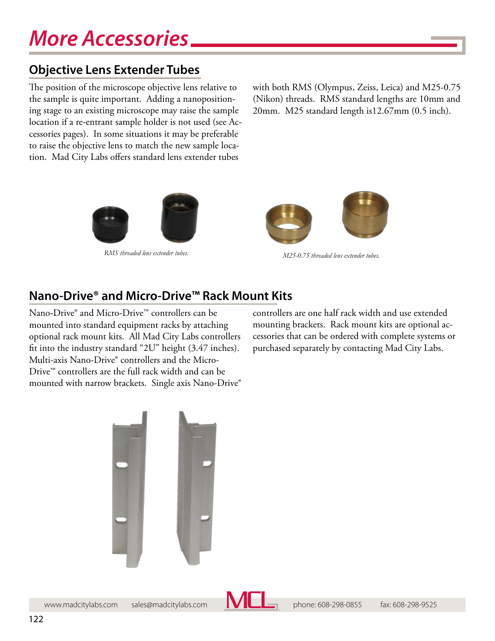## **Objective Lens Extender Tubes**

The position of the microscope objective lens relative to the sample is quite important. Adding a nanopositioning stage to an existing microscope may raise the sample location if a re-entrant sample holder is not used (see Accessories pages). In some situations it may be preferable to raise the objective lens to match the new sample location. Mad City Labs offers standard lens extender tubes

with both RMS (Olympus, Zeiss, Leica) and M25-0.75 (Nikon) threads. RMS standard lengths are 10mm and 20mm. M25 standard length is12.67mm (0.5 inch).





*RMS threaded lens extender tubes. M25-0.75 threaded lens extender tubes.*

## **Nano-Drive® and Micro-Drive™ Rack Mount Kits**

Nano-Drive® and Micro-Drive™ controllers can be mounted into standard equipment racks by attaching optional rack mount kits. All Mad City Labs controllers fit into the industry standard "2U" height (3.47 inches). Multi-axis Nano-Drive® controllers and the Micro-Drive™ controllers are the full rack width and can be mounted with narrow brackets. Single axis Nano-Drive® controllers are one half rack width and use extended mounting brackets. Rack mount kits are optional accessories that can be ordered with complete systems or purchased separately by contacting Mad City Labs.